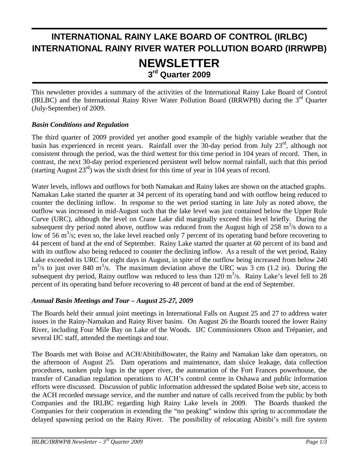# **INTERNATIONAL RAINY LAKE BOARD OF CONTROL (IRLBC) INTERNATIONAL RAINY RIVER WATER POLLUTION BOARD (IRRWPB) NEWSLETTER 3rd Quarter 2009**

This newsletter provides a summary of the activities of the International Rainy Lake Board of Control (IRLBC) and the International Rainy River Water Pollution Board (IRRWPB) during the 3<sup>rd</sup> Ouarter (July-September) of 2009.

#### *Basin Conditions and Regulation*

j

 The third quarter of 2009 provided yet another good example of the highly variable weather that the basin has experienced in recent years. Rainfall over the 30-day period from July 23<sup>rd</sup>, although not consistent through the period, was the third wettest for this time period in 104 years of record. Then, in contrast, the next 30-day period experienced persistent well below normal rainfall, such that this period (starting August  $23<sup>rd</sup>$ ) was the sixth driest for this time of year in 104 years of record.

Water levels, inflows and outflows for both Namakan and Rainy lakes are shown on the attached graphs. Namakan Lake started the quarter at 34 percent of its operating band and with outflow being reduced to counter the declining inflow. In response to the wet period starting in late July as noted above, the outflow was increased in mid-August such that the lake level was just contained below the Upper Rule Curve (URC), although the level on Crane Lake did marginally exceed this level briefly. During the subsequent dry period noted above, outflow was reduced from the August high of 258  $\mathrm{m}^3$ /s down to a low of 56 m<sup>3</sup>/s; even so, the lake level reached only 7 percent of its operating band before recovering to 44 percent of band at the end of September. Rainy Lake started the quarter at 60 percent of its band and with its outflow also being reduced to counter the declining inflow. As a result of the wet period, Rainy Lake exceeded its URC for eight days in August, in spite of the outflow being increased from below 240  $\text{m}^3$ /s to just over 840 m<sup>3</sup>/s. The maximum deviation above the URC was 3 cm (1.2 in). During the subsequent dry period, Rainy outflow was reduced to less than  $120 \text{ m}^3/\text{s}$ . Rainy Lake's level fell to 28 percent of its operating band before recovering to 48 percent of band at the end of September.

#### *Annual Basin Meetings and Tour – August 25-27, 2009*

The Boards held their annual joint meetings in International Falls on August 25 and 27 to address water issues in the Rainy-Namakan and Rainy River basins. On August 26 the Boards toured the lower Rainy River, including Four Mile Bay on Lake of the Woods. IJC Commissioners Olson and Trépanier, and several IJC staff, attended the meetings and tour.

The Boards met with Boise and ACH/AbitibiBowater, the Rainy and Namakan lake dam operators, on the afternoon of August 25. Dam operations and maintenance, dam sluice leakage, data collection procedures, sunken pulp logs in the upper river, the automation of the Fort Frances powerhouse, the transfer of Canadian regulation operations to ACH's control centre in Oshawa and public information efforts were discussed. Discussion of public information addressed the updated Boise web site, access to the ACH recorded message service, and the number and nature of calls received from the public by both Companies and the IRLBC regarding high Rainy Lake levels in 2009. The Boards thanked the Companies for their cooperation in extending the "no peaking" window this spring to accommodate the delayed spawning period on the Rainy River. The possibility of relocating Abitibi's mill fire system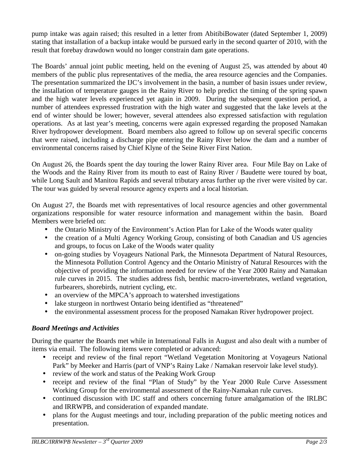pump intake was again raised; this resulted in a letter from AbitibiBowater (dated September 1, 2009) stating that installation of a backup intake would be pursued early in the second quarter of 2010, with the result that forebay drawdown would no longer constrain dam gate operations.

The Boards' annual joint public meeting, held on the evening of August 25, was attended by about 40 members of the public plus representatives of the media, the area resource agencies and the Companies. The presentation summarized the IJC's involvement in the basin, a number of basin issues under review, the installation of temperature gauges in the Rainy River to help predict the timing of the spring spawn and the high water levels experienced yet again in 2009. During the subsequent question period, a number of attendees expressed frustration with the high water and suggested that the lake levels at the end of winter should be lower; however, several attendees also expressed satisfaction with regulation operations. As at last year's meeting, concerns were again expressed regarding the proposed Namakan River hydropower development. Board members also agreed to follow up on several specific concerns that were raised, including a discharge pipe entering the Rainy River below the dam and a number of environmental concerns raised by Chief Klyne of the Seine River First Nation.

On August 26, the Boards spent the day touring the lower Rainy River area. Four Mile Bay on Lake of the Woods and the Rainy River from its mouth to east of Rainy River / Baudette were toured by boat, while Long Sault and Manitou Rapids and several tributary areas further up the river were visited by car. The tour was guided by several resource agency experts and a local historian.

On August 27, the Boards met with representatives of local resource agencies and other governmental organizations responsible for water resource information and management within the basin. Board Members were briefed on:

- the Ontario Ministry of the Environment's Action Plan for Lake of the Woods water quality
- the creation of a Multi Agency Working Group, consisting of both Canadian and US agencies and groups, to focus on Lake of the Woods water quality
- on-going studies by Voyageurs National Park, the Minnesota Department of Natural Resources, the Minnesota Pollution Control Agency and the Ontario Ministry of Natural Resources with the objective of providing the information needed for review of the Year 2000 Rainy and Namakan rule curves in 2015. The studies address fish, benthic macro-invertebrates, wetland vegetation, furbearers, shorebirds, nutrient cycling, etc.
- an overview of the MPCA's approach to watershed investigations
- lake sturgeon in northwest Ontario being identified as "threatened"
- the environmental assessment process for the proposed Namakan River hydropower project.

#### *Board Meetings and Activities*

During the quarter the Boards met while in International Falls in August and also dealt with a number of items via email. The following items were completed or advanced:

- receipt and review of the final report "Wetland Vegetation Monitoring at Voyageurs National Park" by Meeker and Harris (part of VNP's Rainy Lake / Namakan reservoir lake level study).
- review of the work and status of the Peaking Work Group
- receipt and review of the final "Plan of Study" by the Year 2000 Rule Curve Assessment Working Group for the environmental assessment of the Rainy-Namakan rule curves.
- continued discussion with IJC staff and others concerning future amalgamation of the IRLBC and IRRWPB, and consideration of expanded mandate.
- plans for the August meetings and tour, including preparation of the public meeting notices and presentation.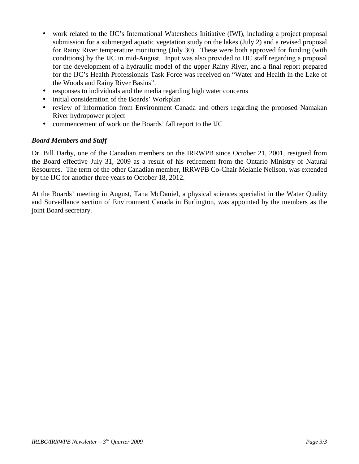- work related to the IJC's International Watersheds Initiative (IWI), including a project proposal submission for a submerged aquatic vegetation study on the lakes (July 2) and a revised proposal for Rainy River temperature monitoring (July 30). These were both approved for funding (with conditions) by the IJC in mid-August. Input was also provided to IJC staff regarding a proposal for the development of a hydraulic model of the upper Rainy River, and a final report prepared for the IJC's Health Professionals Task Force was received on "Water and Health in the Lake of the Woods and Rainy River Basins".
- responses to individuals and the media regarding high water concerns
- initial consideration of the Boards' Workplan
- review of information from Environment Canada and others regarding the proposed Namakan River hydropower project
- commencement of work on the Boards' fall report to the IJC

#### *Board Members and Staff*

Dr. Bill Darby, one of the Canadian members on the IRRWPB since October 21, 2001, resigned from the Board effective July 31, 2009 as a result of his retirement from the Ontario Ministry of Natural Resources. The term of the other Canadian member, IRRWPB Co-Chair Melanie Neilson, was extended by the IJC for another three years to October 18, 2012.

At the Boards' meeting in August, Tana McDaniel, a physical sciences specialist in the Water Quality and Surveillance section of Environment Canada in Burlington, was appointed by the members as the joint Board secretary.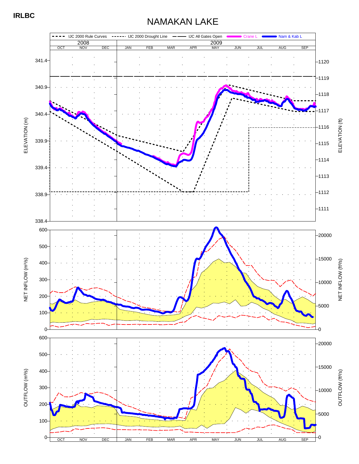## NAMAKAN LAKE